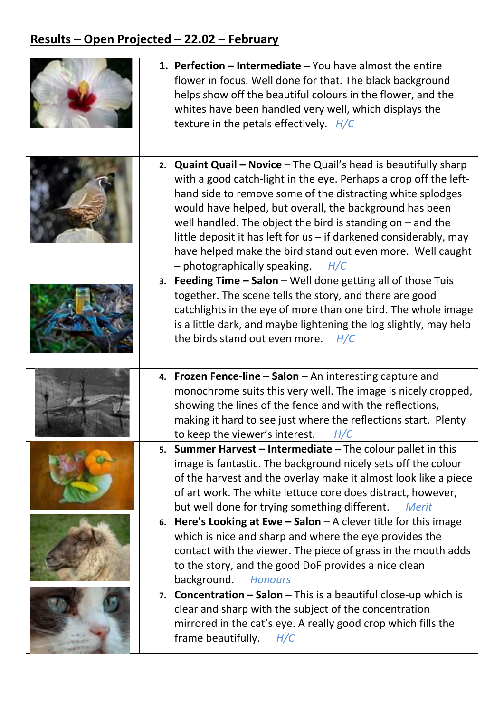## **Results – Open Projected – 22.02 – February**

|    | 1. Perfection $-$ Intermediate $-$ You have almost the entire<br>flower in focus. Well done for that. The black background<br>helps show off the beautiful colours in the flower, and the<br>whites have been handled very well, which displays the<br>texture in the petals effectively. $H/C$                                                                                                                                                                                                                 |
|----|-----------------------------------------------------------------------------------------------------------------------------------------------------------------------------------------------------------------------------------------------------------------------------------------------------------------------------------------------------------------------------------------------------------------------------------------------------------------------------------------------------------------|
|    | 2. <b>Quaint Quail – Novice</b> – The Quail's head is beautifully sharp<br>with a good catch-light in the eye. Perhaps a crop off the left-<br>hand side to remove some of the distracting white splodges<br>would have helped, but overall, the background has been<br>well handled. The object the bird is standing on $-$ and the<br>little deposit it has left for $us$ – if darkened considerably, may<br>have helped make the bird stand out even more. Well caught<br>- photographically speaking. $H/C$ |
|    | 3. Feeding Time - Salon - Well done getting all of those Tuis<br>together. The scene tells the story, and there are good<br>catchlights in the eye of more than one bird. The whole image<br>is a little dark, and maybe lightening the log slightly, may help<br>the birds stand out even more.<br>H/C                                                                                                                                                                                                         |
|    | 4. Frozen Fence-line - Salon - An interesting capture and<br>monochrome suits this very well. The image is nicely cropped,<br>showing the lines of the fence and with the reflections,<br>making it hard to see just where the reflections start. Plenty<br>to keep the viewer's interest.<br>H/C                                                                                                                                                                                                               |
|    | 5. Summer Harvest $-$ Intermediate $-$ The colour pallet in this<br>image is fantastic. The background nicely sets off the colour<br>of the harvest and the overlay make it almost look like a piece<br>of art work. The white lettuce core does distract, however,<br>but well done for trying something different.<br><b>Merit</b>                                                                                                                                                                            |
| 6. | Here's Looking at Ewe $-$ Salon $-$ A clever title for this image<br>which is nice and sharp and where the eye provides the<br>contact with the viewer. The piece of grass in the mouth adds<br>to the story, and the good DoF provides a nice clean<br>background.<br><b>Honours</b>                                                                                                                                                                                                                           |
|    | 7. <b>Concentration – Salon</b> – This is a beautiful close-up which is<br>clear and sharp with the subject of the concentration<br>mirrored in the cat's eye. A really good crop which fills the<br>frame beautifully.<br>H/C                                                                                                                                                                                                                                                                                  |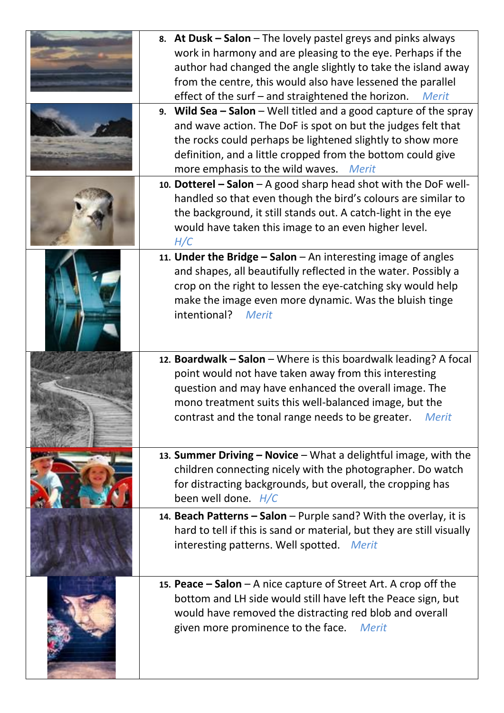| 8. At Dusk – Salon – The lovely pastel greys and pinks always<br>work in harmony and are pleasing to the eye. Perhaps if the<br>author had changed the angle slightly to take the island away<br>from the centre, this would also have lessened the parallel<br>effect of the surf – and straightened the horizon.<br><b>Merit</b> |
|------------------------------------------------------------------------------------------------------------------------------------------------------------------------------------------------------------------------------------------------------------------------------------------------------------------------------------|
| 9. Wild Sea $-$ Salon $-$ Well titled and a good capture of the spray<br>and wave action. The DoF is spot on but the judges felt that<br>the rocks could perhaps be lightened slightly to show more<br>definition, and a little cropped from the bottom could give<br>more emphasis to the wild waves. Merit                       |
| 10. Dotterel - Salon - A good sharp head shot with the DoF well-<br>handled so that even though the bird's colours are similar to<br>the background, it still stands out. A catch-light in the eye<br>would have taken this image to an even higher level.<br>H/C                                                                  |
| 11. Under the Bridge $-$ Salon $-$ An interesting image of angles<br>and shapes, all beautifully reflected in the water. Possibly a<br>crop on the right to lessen the eye-catching sky would help<br>make the image even more dynamic. Was the bluish tinge<br>intentional?<br><b>Merit</b>                                       |
| 12. Boardwalk - Salon - Where is this boardwalk leading? A focal<br>point would not have taken away from this interesting<br>question and may have enhanced the overall image. The<br>mono treatment suits this well-balanced image, but the<br>contrast and the tonal range needs to be greater.<br><b>Merit</b>                  |
| 13. Summer Driving - Novice - What a delightful image, with the<br>children connecting nicely with the photographer. Do watch<br>for distracting backgrounds, but overall, the cropping has<br>been well done. $H/C$                                                                                                               |
| 14. Beach Patterns - Salon - Purple sand? With the overlay, it is<br>hard to tell if this is sand or material, but they are still visually<br>interesting patterns. Well spotted. Merit                                                                                                                                            |
| 15. Peace $-$ Salon $-$ A nice capture of Street Art. A crop off the<br>bottom and LH side would still have left the Peace sign, but<br>would have removed the distracting red blob and overall<br>given more prominence to the face.<br><b>Merit</b>                                                                              |